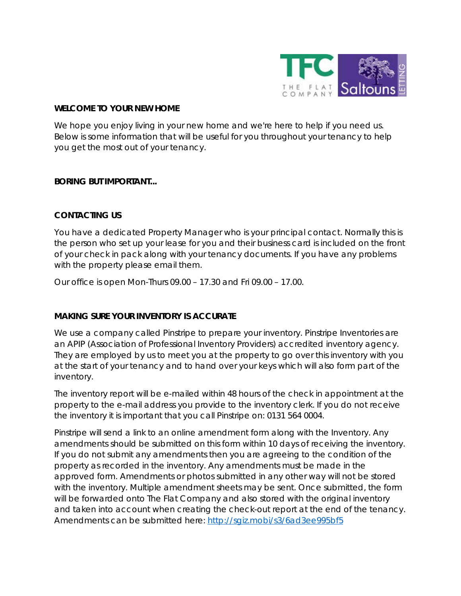

#### **WELCOME TO YOUR NEW HOME**

We hope you enjoy living in your new home and we're here to help if you need us. Below is some information that will be useful for you throughout your tenancy to help you get the most out of your tenancy.

#### **BORING BUT IMPORTANT...**

### **CONTACTING US**

You have a dedicated Property Manager who is your principal contact. Normally this is the person who set up your lease for you and their business card is included on the front of your check in pack along with your tenancy documents. If you have any problems with the property please email them.

Our office is open Mon-Thurs 09.00 – 17.30 and Fri 09.00 – 17.00.

### **MAKING SURE YOUR INVENTORY IS ACCURATE**

We use a company called Pinstripe to prepare your inventory. Pinstripe Inventories are an APIP (Association of Professional Inventory Providers) accredited inventory agency. They are employed by us to meet you at the property to go over this inventory with you at the start of your tenancy and to hand over your keys which will also form part of the inventory.

The inventory report will be e-mailed within 48 hours of the check in appointment at the property to the e-mail address you provide to the inventory clerk. If you do not receive the inventory it is important that you call Pinstripe on: 0131 564 0004.

Pinstripe will send a link to an online amendment form along with the Inventory. Any amendments should be submitted on this form within 10 days of receiving the inventory. If you do not submit any amendments then you are agreeing to the condition of the property as recorded in the inventory. Any amendments must be made in the approved form. Amendments or photos submitted in any other way will not be stored with the inventory. Multiple amendment sheets may be sent. Once submitted, the form will be forwarded onto The Flat Company and also stored with the original inventory and taken into account when creating the check-out report at the end of the tenancy. Amendments can be submitted here: http://sqiz.mobi/s3/6ad3ee995bf5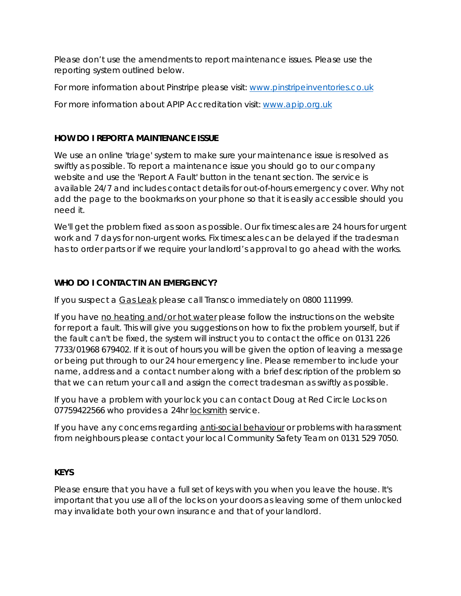Please don't use the amendments to report maintenance issues. Please use the reporting system outlined below.

For more information about Pinstripe please visit: [www.pinstripeinventories.co.uk](http://www.pinstripeinventories.co.uk/)

For more information about APIP Accreditation visit: [www.apip.org.uk](http://www.apip.org.uk/)

# **HOW DO I REPORT A MAINTENANCE ISSUE**

We use an online 'triage' system to make sure your maintenance issue is resolved as swiftly as possible. To report a maintenance issue you should go to our company website and use the 'Report A Fault' button in the tenant section. The service is available 24/7 and includes contact details for out-of-hours emergency cover. Why not add the page to the bookmarks on your phone so that it is easily accessible should you need it.

We'll get the problem fixed as soon as possible. Our fix timescales are 24 hours for urgent work and 7 days for non-urgent works. Fix timescales can be delayed if the tradesman has to order parts or if we require your landlord's approval to go ahead with the works.

# **WHO DO I CONTACT IN AN EMERGENCY?**

If you suspect a Gas Leak please call Transco immediately on 0800 111999.

If you have no heating and/or hot water please follow the instructions on the website for report a fault. This will give you suggestions on how to fix the problem yourself, but if the fault can't be fixed, the system will instruct you to contact the office on 0131 226 7733/01968 679402. If it is out of hours you will be given the option of leaving a message or being put through to our 24 hour emergency line. Please remember to include your name, address and a contact number along with a brief description of the problem so that we can return your call and assign the correct tradesman as swiftly as possible.

If you have a problem with your lock you can contact Doug at Red Circle Locks on 07759422566 who provides a 24hr locksmith service.

If you have any concerns regarding anti-social behaviour or problems with harassment from neighbours please contact your local Community Safety Team on 0131 529 7050.

# **KEYS**

Please ensure that you have a full set of keys with you when you leave the house. It's important that you use all of the locks on your doors as leaving some of them unlocked may invalidate both your own insurance and that of your landlord.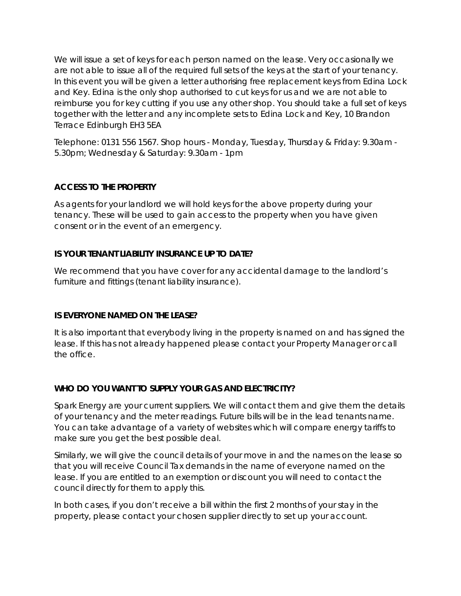We will issue a set of keys for each person named on the lease. Very occasionally we are not able to issue all of the required full sets of the keys at the start of your tenancy. In this event you will be given a letter authorising free replacement keys from Edina Lock and Key. Edina is the only shop authorised to cut keys for us and we are not able to reimburse you for key cutting if you use any other shop. You should take a full set of keys together with the letter and any incomplete sets to Edina Lock and Key, 10 Brandon Terrace Edinburgh EH3 5EA

Telephone: 0131 556 1567. Shop hours - Monday, Tuesday, Thursday & Friday: 9.30am - 5.30pm; Wednesday & Saturday: 9.30am - 1pm

# **ACCESS TO THE PROPERTY**

As agents for your landlord we will hold keys for the above property during your tenancy. These will be used to gain access to the property when you have given consent or in the event of an emergency.

# **IS YOUR TENANT LIABILITY INSURANCE UP TO DATE?**

We recommend that you have cover for any accidental damage to the landlord's furniture and fittings (tenant liability insurance).

# **IS EVERYONE NAMED ON THE LEASE?**

It is also important that everybody living in the property is named on and has signed the lease. If this has not already happened please contact your Property Manager or call the office.

# **WHO DO YOU WANT TO SUPPLY YOUR GAS AND ELECTRICITY?**

Spark Energy are your current suppliers. We will contact them and give them the details of your tenancy and the meter readings. Future bills will be in the lead tenants name. You can take advantage of a variety of websites which will compare energy tariffs to make sure you get the best possible deal.

Similarly, we will give the council details of your move in and the names on the lease so that you will receive Council Tax demands in the name of everyone named on the lease. If you are entitled to an exemption or discount you will need to contact the council directly for them to apply this.

In both cases, if you don't receive a bill within the first 2 months of your stay in the property, please contact your chosen supplier directly to set up your account.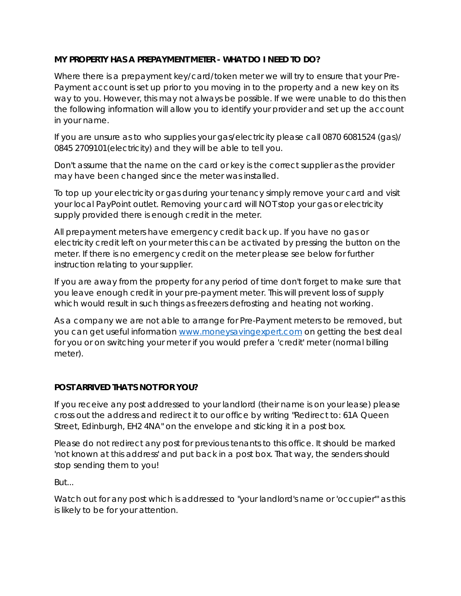# **MY PROPERTY HAS A PREPAYMENT METER - WHAT DO I NEED TO DO?**

Where there is a prepayment key/card/token meter we will try to ensure that your Pre-Payment account is set up prior to you moving in to the property and a new key on its way to you. However, this may not always be possible. If we were unable to do this then the following information will allow you to identify your provider and set up the account in your name.

If you are unsure as to who supplies your gas/electricity please call 0870 6081524 (gas)/ 0845 2709101(electricity) and they will be able to tell you.

Don't assume that the name on the card or key is the correct supplier as the provider may have been changed since the meter was installed.

To top up your electricity or gas during your tenancy simply remove your card and visit your local PayPoint outlet. Removing your card will NOT stop your gas or electricity supply provided there is enough credit in the meter.

All prepayment meters have emergency credit back up. If you have no gas or electricity credit left on your meter this can be activated by pressing the button on the meter. If there is no emergency credit on the meter please see below for further instruction relating to your supplier.

If you are away from the property for any period of time don't forget to make sure that you leave enough credit in your pre-payment meter. This will prevent loss of supply which would result in such things as freezers defrosting and heating not working.

As a company we are not able to arrange for Pre-Payment meters to be removed, but you can get useful information [www.moneysavingexpert.com](http://www.moneysavingexpert.com/) on getting the best deal for you or on switching your meter if you would prefer a 'credit' meter (normal billing meter).

# **POST ARRIVED THAT'S NOT FOR YOU?**

If you receive any post addressed to your landlord (their name is on your lease) please cross out the address and redirect it to our office by writing "Redirect to: 61A Queen Street, Edinburgh, EH2 4NA" on the envelope and sticking it in a post box.

Please do not redirect any post for previous tenants to this office. It should be marked 'not known at this address' and put back in a post box. That way, the senders should stop sending them to you!

But...

Watch out for any post which is addressed to "your landlord's name or 'occupier'" as this is likely to be for your attention.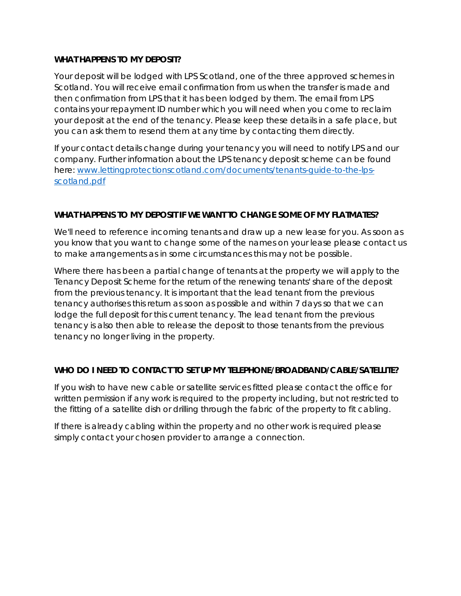### **WHAT HAPPENS TO MY DEPOSIT?**

Your deposit will be lodged with LPS Scotland, one of the three approved schemes in Scotland. You will receive email confirmation from us when the transfer is made and then confirmation from LPS that it has been lodged by them. The email from LPS contains your repayment ID number which you will need when you come to reclaim your deposit at the end of the tenancy. Please keep these details in a safe place, but you can ask them to resend them at any time by contacting them directly.

If your contact details change during your tenancy you will need to notify LPS and our company. Further information about the LPS tenancy deposit scheme can be found here: [www.lettingprotectionscotland.com/documents/tenants-guide-to-the-lps](http://www.lettingprotectionscotland.com/documents/tenants-guide-to-the-lps-scotland.pdf)[scotland.pdf](http://www.lettingprotectionscotland.com/documents/tenants-guide-to-the-lps-scotland.pdf)

### **WHAT HAPPENS TO MY DEPOSIT IF WE WANT TO CHANGE SOME OF MY FLATMATES?**

We'll need to reference incoming tenants and draw up a new lease for you. As soon as you know that you want to change some of the names on your lease please contact us to make arrangements as in some circumstances this may not be possible.

Where there has been a partial change of tenants at the property we will apply to the Tenancy Deposit Scheme for the return of the renewing tenants' share of the deposit from the previous tenancy. It is important that the lead tenant from the previous tenancy authorises this return as soon as possible and within 7 days so that we can lodge the full deposit for this current tenancy. The lead tenant from the previous tenancy is also then able to release the deposit to those tenants from the previous tenancy no longer living in the property.

### **WHO DO I NEED TO CONTACT TO SET UP MY TELEPHONE/BROADBAND/CABLE/SATELLITE?**

If you wish to have new cable or satellite services fitted please contact the office for written permission if any work is required to the property including, but not restricted to the fitting of a satellite dish or drilling through the fabric of the property to fit cabling.

If there is already cabling within the property and no other work is required please simply contact your chosen provider to arrange a connection.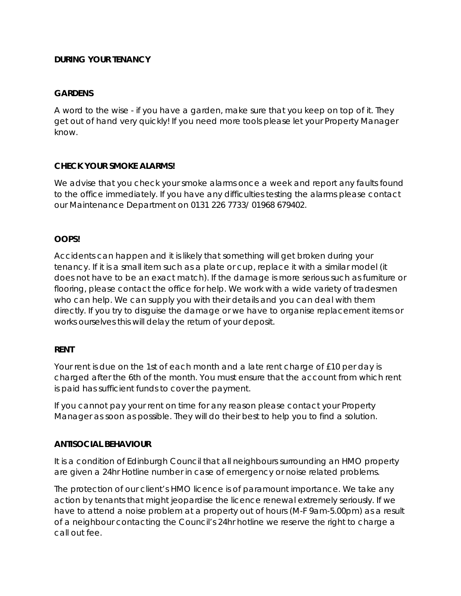### **DURING YOUR TENANCY**

### **GARDENS**

A word to the wise - if you have a garden, make sure that you keep on top of it. They get out of hand very quickly! If you need more tools please let your Property Manager know.

### **CHECK YOUR SMOKE ALARMS!**

We advise that you check your smoke alarms once a week and report any faults found to the office immediately. If you have any difficulties testing the alarms please contact our Maintenance Department on 0131 226 7733/ 01968 679402.

## **OOPS!**

Accidents can happen and it is likely that something will get broken during your tenancy. If it is a small item such as a plate or cup, replace it with a similar model (it does not have to be an exact match). If the damage is more serious such as furniture or flooring, please contact the office for help. We work with a wide variety of tradesmen who can help. We can supply you with their details and you can deal with them directly. If you try to disguise the damage or we have to organise replacement items or works ourselves this will delay the return of your deposit.

### **RENT**

Your rent is due on the 1st of each month and a late rent charge of £10 per day is charged after the 6th of the month. You must ensure that the account from which rent is paid has sufficient funds to cover the payment.

If you cannot pay your rent on time for any reason please contact your Property Manager as soon as possible. They will do their best to help you to find a solution.

### **ANTISOCIAL BEHAVIOUR**

It is a condition of Edinburgh Council that all neighbours surrounding an HMO property are given a 24hr Hotline number in case of emergency or noise related problems.

The protection of our client's HMO licence is of paramount importance. We take any action by tenants that might jeopardise the licence renewal extremely seriously. If we have to attend a noise problem at a property out of hours (M-F 9am-5.00pm) as a result of a neighbour contacting the Council's 24hr hotline we reserve the right to charge a call out fee.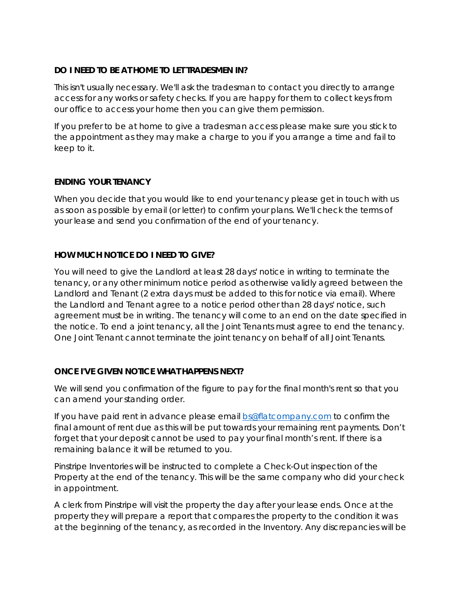## **DO I NEED TO BE AT HOME TO LET TRADESMEN IN?**

This isn't usually necessary. We'll ask the tradesman to contact you directly to arrange access for any works or safety checks. If you are happy for them to collect keys from our office to access your home then you can give them permission.

If you prefer to be at home to give a tradesman access please make sure you stick to the appointment as they may make a charge to you if you arrange a time and fail to keep to it.

## **ENDING YOUR TENANCY**

When you decide that you would like to end your tenancy please get in touch with us as soon as possible by email (or letter) to confirm your plans. We'll check the terms of your lease and send you confirmation of the end of your tenancy.

## **HOW MUCH NOTICE DO I NEED TO GIVE?**

You will need to give the Landlord at least 28 days' notice in writing to terminate the tenancy, or any other minimum notice period as otherwise validly agreed between the Landlord and Tenant (2 extra days must be added to this for notice via email). Where the Landlord and Tenant agree to a notice period other than 28 days' notice, such agreement must be in writing. The tenancy will come to an end on the date specified in the notice. To end a joint tenancy, all the Joint Tenants must agree to end the tenancy. One Joint Tenant cannot terminate the joint tenancy on behalf of all Joint Tenants.

### **ONCE I'VE GIVEN NOTICE WHAT HAPPENS NEXT?**

We will send you confirmation of the figure to pay for the final month's rent so that you can amend your standing order.

If you have paid rent in advance please email [bs@flatcompany.com](mailto:bs@flatcompany.com) to confirm the final amount of rent due as this will be put towards your remaining rent payments. Don't forget that your deposit cannot be used to pay your final month's rent. If there is a remaining balance it will be returned to you.

Pinstripe Inventories will be instructed to complete a Check-Out inspection of the Property at the end of the tenancy. This will be the same company who did your check in appointment.

A clerk from Pinstripe will visit the property the day after your lease ends. Once at the property they will prepare a report that compares the property to the condition it was at the beginning of the tenancy, as recorded in the Inventory. Any discrepancies will be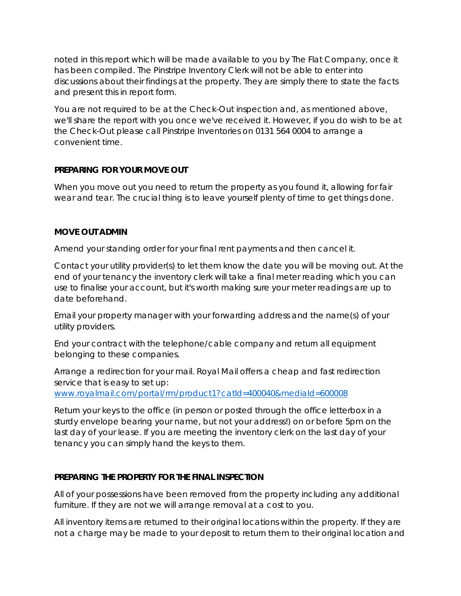noted in this report which will be made available to you by The Flat Company, once it has been compiled. The Pinstripe Inventory Clerk will not be able to enter into discussions about their findings at the property. They are simply there to state the facts and present this in report form.

You are not required to be at the Check-Out inspection and, as mentioned above, we'll share the report with you once we've received it. However, if you do wish to be at the Check-Out please call Pinstripe Inventories on 0131 564 0004 to arrange a convenient time.

### **PREPARING FOR YOUR MOVE OUT**

When you move out you need to return the property as you found it, allowing for fair wear and tear. The crucial thing is to leave yourself plenty of time to get things done.

## **MOVE OUT ADMIN**

Amend your standing order for your final rent payments and then cancel it.

Contact your utility provider(s) to let them know the date you will be moving out. At the end of your tenancy the inventory clerk will take a final meter reading which you can use to finalise your account, but it's worth making sure your meter readings are up to date beforehand.

Email your property manager with your forwarding address and the name(s) of your utility providers.

End your contract with the telephone/cable company and return all equipment belonging to these companies.

Arrange a redirection for your mail. Royal Mail offers a cheap and fast redirection service that is easy to set up:

[www.royalmail.com/portal/rm/product1?catId=400040&mediaId=600008](http://www.royalmail.com/portal/rm/product1?catId=400040&mediaId=600008)

Return your keys to the office (in person or posted through the office letterbox in a sturdy envelope bearing your name, but not your address!) on or before 5pm on the last day of your lease. If you are meeting the inventory clerk on the last day of your tenancy you can simply hand the keys to them.

### **PREPARING THE PROPERTY FOR THE FINAL INSPECTION**

All of your possessions have been removed from the property including any additional furniture. If they are not we will arrange removal at a cost to you.

All inventory items are returned to their original locations within the property. If they are not a charge may be made to your deposit to return them to their original location and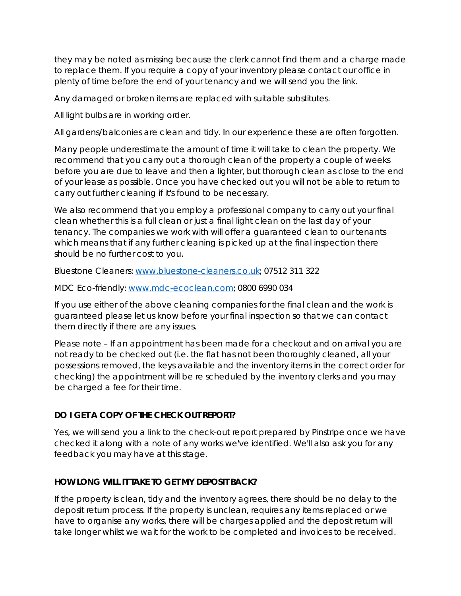they may be noted as missing because the clerk cannot find them and a charge made to replace them. If you require a copy of your inventory please contact our office in plenty of time before the end of your tenancy and we will send you the link.

Any damaged or broken items are replaced with suitable substitutes.

All light bulbs are in working order.

All gardens/balconies are clean and tidy. In our experience these are often forgotten.

Many people underestimate the amount of time it will take to clean the property. We recommend that you carry out a thorough clean of the property a couple of weeks before you are due to leave and then a lighter, but thorough clean as close to the end of your lease as possible. Once you have checked out you will not be able to return to carry out further cleaning if it's found to be necessary.

We also recommend that you employ a professional company to carry out your final clean whether this is a full clean or just a final light clean on the last day of your tenancy. The companies we work with will offer a guaranteed clean to our tenants which means that if any further cleaning is picked up at the final inspection there should be no further cost to you.

Bluestone Cleaners: [www.bluestone-cleaners.co.uk;](http://www.bluestone-cleaners.co.uk/) 07512 311 322

MDC Eco-friendly: [www.mdc-ecoclean.com;](http://www.mdc-ecoclean.com/) 0800 6990 034

If you use either of the above cleaning companies for the final clean and the work is guaranteed please let us know before your final inspection so that we can contact them directly if there are any issues.

Please note – If an appointment has been made for a checkout and on arrival you are not ready to be checked out (i.e. the flat has not been thoroughly cleaned, all your possessions removed, the keys available and the inventory items in the correct order for checking) the appointment will be re scheduled by the inventory clerks and you may be charged a fee for their time.

### **DO I GET A COPY OF THE CHECK OUT REPORT?**

Yes, we will send you a link to the check-out report prepared by Pinstripe once we have checked it along with a note of any works we've identified. We'll also ask you for any feedback you may have at this stage.

### **HOW LONG WILL IT TAKE TO GET MY DEPOSIT BACK?**

If the property is clean, tidy and the inventory agrees, there should be no delay to the deposit return process. If the property is unclean, requires any items replaced or we have to organise any works, there will be charges applied and the deposit return will take longer whilst we wait for the work to be completed and invoices to be received.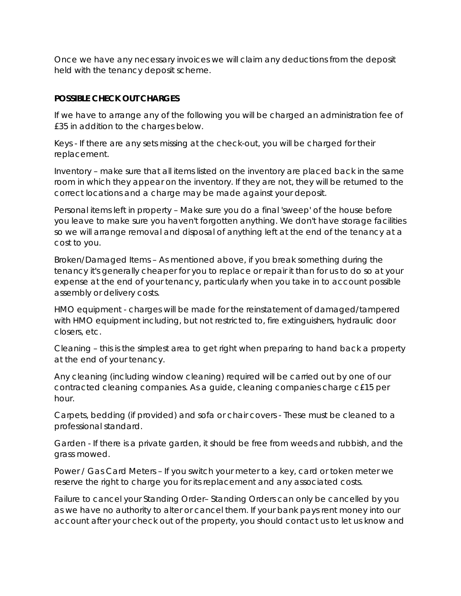Once we have any necessary invoices we will claim any deductions from the deposit held with the tenancy deposit scheme.

## **POSSIBLE CHECK OUT CHARGES**

If we have to arrange any of the following you will be charged an administration fee of £35 in addition to the charges below.

Keys - If there are any sets missing at the check-out, you will be charged for their replacement.

Inventory – make sure that all items listed on the inventory are placed back in the same room in which they appear on the inventory. If they are not, they will be returned to the correct locations and a charge may be made against your deposit.

Personal items left in property – Make sure you do a final 'sweep' of the house before you leave to make sure you haven't forgotten anything. We don't have storage facilities so we will arrange removal and disposal of anything left at the end of the tenancy at a cost to you.

Broken/Damaged Items – As mentioned above, if you break something during the tenancy it's generally cheaper for you to replace or repair it than for us to do so at your expense at the end of your tenancy, particularly when you take in to account possible assembly or delivery costs.

HMO equipment - charges will be made for the reinstatement of damaged/tampered with HMO equipment including, but not restricted to, fire extinguishers, hydraulic door closers, etc.

Cleaning – this is the simplest area to get right when preparing to hand back a property at the end of your tenancy.

Any cleaning (including window cleaning) required will be carried out by one of our contracted cleaning companies. As a guide, cleaning companies charge c£15 per hour.

Carpets, bedding (if provided) and sofa or chair covers - These must be cleaned to a professional standard.

Garden - If there is a private garden, it should be free from weeds and rubbish, and the grass mowed.

Power / Gas Card Meters – If you switch your meter to a key, card or token meter we reserve the right to charge you for its replacement and any associated costs.

Failure to cancel your Standing Order– Standing Orders can only be cancelled by you as we have no authority to alter or cancel them. If your bank pays rent money into our account after your check out of the property, you should contact us to let us know and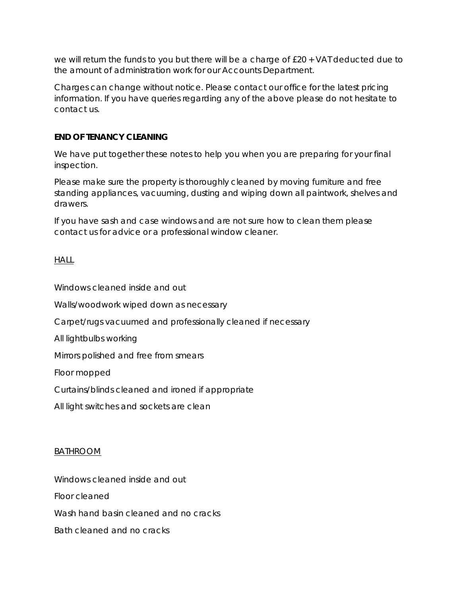we will return the funds to you but there will be a charge of £20 + VAT deducted due to the amount of administration work for our Accounts Department.

Charges can change without notice. Please contact our office for the latest pricing information. If you have queries regarding any of the above please do not hesitate to contact us.

### **END OF TENANCY CLEANING**

We have put together these notes to help you when you are preparing for your final inspection.

Please make sure the property is thoroughly cleaned by moving furniture and free standing appliances, vacuuming, dusting and wiping down all paintwork, shelves and drawers.

If you have sash and case windows and are not sure how to clean them please contact us for advice or a professional window cleaner.

## **HALL**

Windows cleaned inside and out

Walls/woodwork wiped down as necessary

Carpet/rugs vacuumed and professionally cleaned if necessary

All lightbulbs working

Mirrors polished and free from smears

Floor mopped

Curtains/blinds cleaned and ironed if appropriate

All light switches and sockets are clean

### BATHROOM

Windows cleaned inside and out

Floor cleaned

Wash hand basin cleaned and no cracks

Bath cleaned and no cracks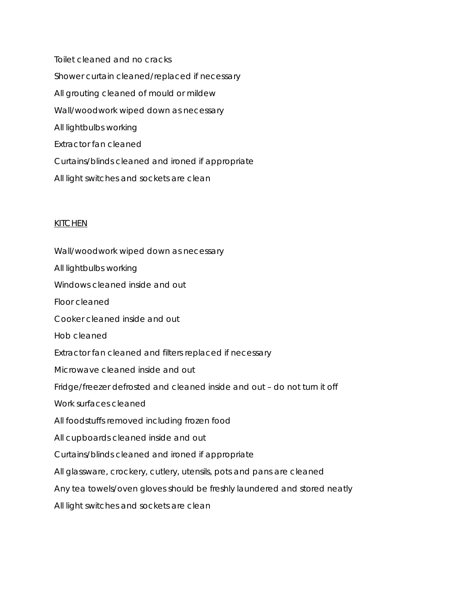Toilet cleaned and no cracks Shower curtain cleaned/replaced if necessary All grouting cleaned of mould or mildew Wall/woodwork wiped down as necessary All lightbulbs working Extractor fan cleaned Curtains/blinds cleaned and ironed if appropriate All light switches and sockets are clean

#### **KITCHEN**

Wall/woodwork wiped down as necessary All lightbulbs working Windows cleaned inside and out Floor cleaned Cooker cleaned inside and out Hob cleaned Extractor fan cleaned and filters replaced if necessary Microwave cleaned inside and out Fridge/freezer defrosted and cleaned inside and out – do not turn it off Work surfaces cleaned All foodstuffs removed including frozen food All cupboards cleaned inside and out Curtains/blinds cleaned and ironed if appropriate All glassware, crockery, cutlery, utensils, pots and pans are cleaned Any tea towels/oven gloves should be freshly laundered and stored neatly All light switches and sockets are clean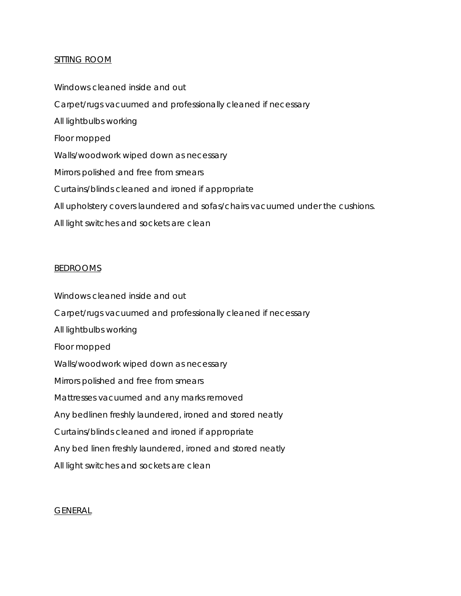#### SITTING ROOM

Windows cleaned inside and out Carpet/rugs vacuumed and professionally cleaned if necessary All lightbulbs working Floor mopped Walls/woodwork wiped down as necessary Mirrors polished and free from smears Curtains/blinds cleaned and ironed if appropriate All upholstery covers laundered and sofas/chairs vacuumed under the cushions. All light switches and sockets are clean

#### **BEDROOMS**

Windows cleaned inside and out Carpet/rugs vacuumed and professionally cleaned if necessary All lightbulbs working Floor mopped Walls/woodwork wiped down as necessary Mirrors polished and free from smears Mattresses vacuumed and any marks removed Any bedlinen freshly laundered, ironed and stored neatly Curtains/blinds cleaned and ironed if appropriate Any bed linen freshly laundered, ironed and stored neatly All light switches and sockets are clean

#### GENERAL